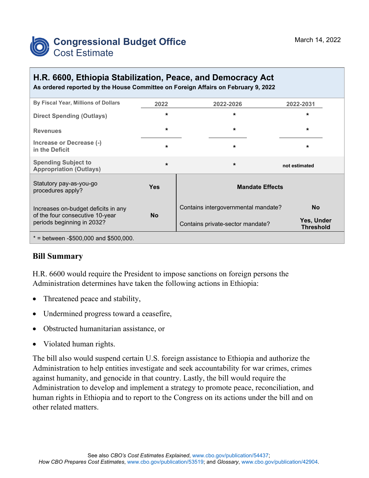

# **H.R. 6600, Ethiopia Stabilization, Peace, and Democracy Act**

**As ordered reported by the House Committee on Foreign Affairs on February 9, 2022**

| By Fiscal Year, Millions of Dollars                                                                  | 2022       | 2022-2026                           | 2022-2031                      |
|------------------------------------------------------------------------------------------------------|------------|-------------------------------------|--------------------------------|
| <b>Direct Spending (Outlays)</b>                                                                     | $\star$    | $\star$                             | $\star$                        |
| <b>Revenues</b>                                                                                      | $\star$    | $\star$                             | $\star$                        |
| Increase or Decrease (-)<br>in the Deficit                                                           | $\star$    | $\star$                             | $\star$                        |
| <b>Spending Subject to</b><br><b>Appropriation (Outlays)</b>                                         | $\star$    | $\star$                             | not estimated                  |
| Statutory pay-as-you-go<br>procedures apply?                                                         | <b>Yes</b> | <b>Mandate Effects</b>              |                                |
| Increases on-budget deficits in any<br>of the four consecutive 10-year<br>periods beginning in 2032? | <b>No</b>  | Contains intergovernmental mandate? | <b>No</b>                      |
|                                                                                                      |            | Contains private-sector mandate?    | Yes, Under<br><b>Threshold</b> |
| $*$ = between -\$500,000 and \$500,000.                                                              |            |                                     |                                |

#### **Bill Summary**

H.R. 6600 would require the President to impose sanctions on foreign persons the Administration determines have taken the following actions in Ethiopia:

- Threatened peace and stability,
- Undermined progress toward a ceasefire,
- Obstructed humanitarian assistance, or
- Violated human rights.

The bill also would suspend certain U.S. foreign assistance to Ethiopia and authorize the Administration to help entities investigate and seek accountability for war crimes, crimes against humanity, and genocide in that country. Lastly, the bill would require the Administration to develop and implement a strategy to promote peace, reconciliation, and human rights in Ethiopia and to report to the Congress on its actions under the bill and on other related matters.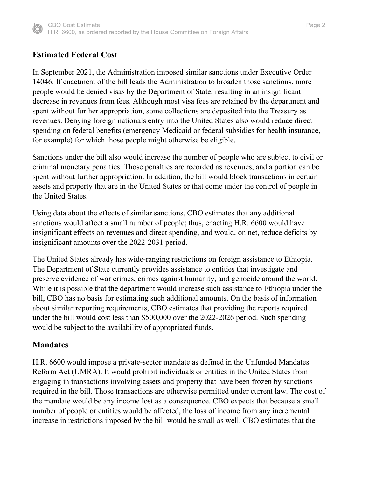

## **Estimated Federal Cost**

In September 2021, the Administration imposed similar sanctions under Executive Order 14046. If enactment of the bill leads the Administration to broaden those sanctions, more people would be denied visas by the Department of State, resulting in an insignificant decrease in revenues from fees. Although most visa fees are retained by the department and spent without further appropriation, some collections are deposited into the Treasury as revenues. Denying foreign nationals entry into the United States also would reduce direct spending on federal benefits (emergency Medicaid or federal subsidies for health insurance, for example) for which those people might otherwise be eligible.

Sanctions under the bill also would increase the number of people who are subject to civil or criminal monetary penalties. Those penalties are recorded as revenues, and a portion can be spent without further appropriation. In addition, the bill would block transactions in certain assets and property that are in the United States or that come under the control of people in the United States.

Using data about the effects of similar sanctions, CBO estimates that any additional sanctions would affect a small number of people; thus, enacting H.R. 6600 would have insignificant effects on revenues and direct spending, and would, on net, reduce deficits by insignificant amounts over the 2022-2031 period.

The United States already has wide-ranging restrictions on foreign assistance to Ethiopia. The Department of State currently provides assistance to entities that investigate and preserve evidence of war crimes, crimes against humanity, and genocide around the world. While it is possible that the department would increase such assistance to Ethiopia under the bill, CBO has no basis for estimating such additional amounts. On the basis of information about similar reporting requirements, CBO estimates that providing the reports required under the bill would cost less than \$500,000 over the 2022-2026 period. Such spending would be subject to the availability of appropriated funds.

#### **Mandates**

H.R. 6600 would impose a private-sector mandate as defined in the Unfunded Mandates Reform Act (UMRA). It would prohibit individuals or entities in the United States from engaging in transactions involving assets and property that have been frozen by sanctions required in the bill. Those transactions are otherwise permitted under current law. The cost of the mandate would be any income lost as a consequence. CBO expects that because a small number of people or entities would be affected, the loss of income from any incremental increase in restrictions imposed by the bill would be small as well. CBO estimates that the